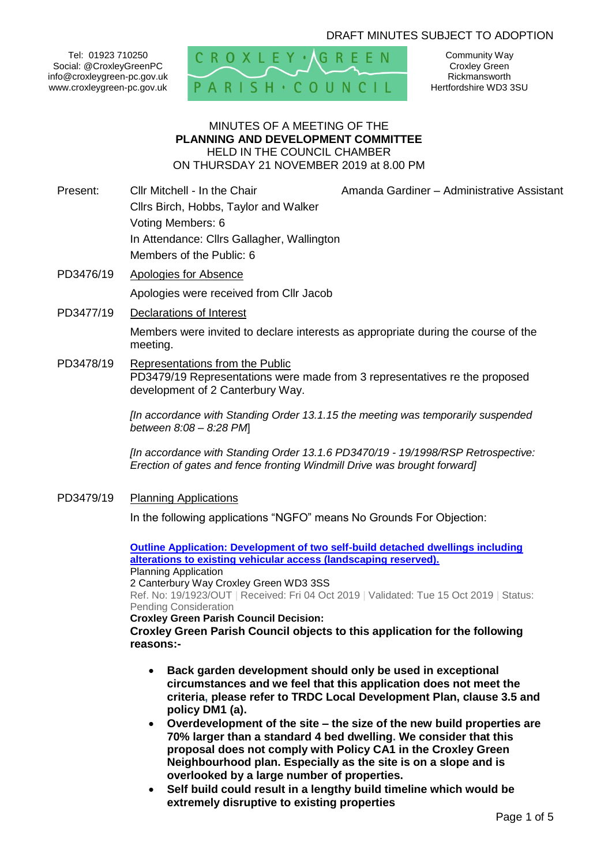# DRAFT MINUTES SUBJECT TO ADOPTION

Tel: 01923 710250 Social: @CroxleyGreenPC info@croxleygreen-pc.gov.uk www.croxleygreen-pc.gov.uk



Community Way Croxley Green Rickmansworth Hertfordshire WD3 3SU

### MINUTES OF A MEETING OF THE **PLANNING AND DEVELOPMENT COMMITTEE** HELD IN THE COUNCIL CHAMBER ON THURSDAY 21 NOVEMBER 2019 at 8.00 PM

- Present: Cllr Mitchell In the Chair **Amanda Gardiner Administrative Assistant** Cllrs Birch, Hobbs, Taylor and Walker Voting Members: 6 In Attendance: Cllrs Gallagher, Wallington Members of the Public: 6
- PD3476/19 Apologies for Absence Apologies were received from Cllr Jacob
- PD3477/19 Declarations of Interest

Members were invited to declare interests as appropriate during the course of the meeting.

PD3478/19 Representations from the Public PD3479/19 Representations were made from 3 representatives re the proposed development of 2 Canterbury Way.

> *[In accordance with Standing Order 13.1.15 the meeting was temporarily suspended between 8:08 – 8:28 PM*]

> *[In accordance with Standing Order 13.1.6 PD3470/19 - 19/1998/RSP Retrospective: Erection of gates and fence fronting Windmill Drive was brought forward]*

PD3479/19 Planning Applications

In the following applications "NGFO" means No Grounds For Objection:

**[Outline Application: Development of two self-build detached dwellings including](https://www3.threerivers.gov.uk/online-applications/applicationDetails.do?activeTab=summary&keyVal=PYU8YHQFGW000&prevPage=inTray)  [alterations to existing vehicular access \(landscaping reserved\).](https://www3.threerivers.gov.uk/online-applications/applicationDetails.do?activeTab=summary&keyVal=PYU8YHQFGW000&prevPage=inTray)** Planning Application 2 Canterbury Way Croxley Green WD3 3SS

Ref. No: 19/1923/OUT | Received: Fri 04 Oct 2019 | Validated: Tue 15 Oct 2019 | Status: Pending Consideration

**Croxley Green Parish Council Decision:**

**Croxley Green Parish Council objects to this application for the following reasons:-**

- **Back garden development should only be used in exceptional circumstances and we feel that this application does not meet the criteria, please refer to TRDC Local Development Plan, clause 3.5 and policy DM1 (a).**
- **Overdevelopment of the site – the size of the new build properties are 70% larger than a standard 4 bed dwelling. We consider that this proposal does not comply with Policy CA1 in the Croxley Green Neighbourhood plan. Especially as the site is on a slope and is overlooked by a large number of properties.**
- **Self build could result in a lengthy build timeline which would be extremely disruptive to existing properties**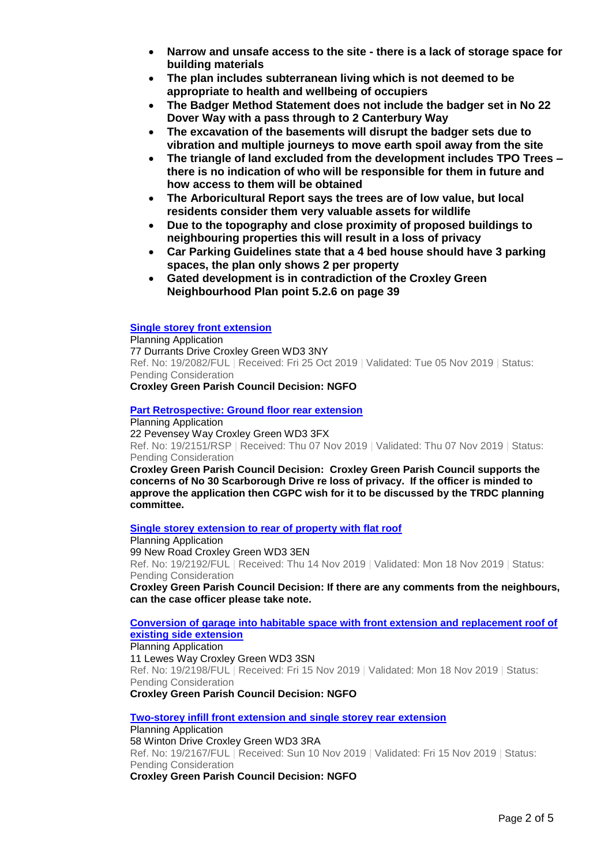- **Narrow and unsafe access to the site - there is a lack of storage space for building materials**
- **The plan includes subterranean living which is not deemed to be appropriate to health and wellbeing of occupiers**
- **The Badger Method Statement does not include the badger set in No 22 Dover Way with a pass through to 2 Canterbury Way**
- **The excavation of the basements will disrupt the badger sets due to vibration and multiple journeys to move earth spoil away from the site**
- **The triangle of land excluded from the development includes TPO Trees – there is no indication of who will be responsible for them in future and how access to them will be obtained**
- **The Arboricultural Report says the trees are of low value, but local residents consider them very valuable assets for wildlife**
- **Due to the topography and close proximity of proposed buildings to neighbouring properties this will result in a loss of privacy**
- **Car Parking Guidelines state that a 4 bed house should have 3 parking spaces, the plan only shows 2 per property**
- **Gated development is in contradiction of the Croxley Green Neighbourhood Plan point 5.2.6 on page 39**

#### **[Single storey front extension](https://www3.threerivers.gov.uk/online-applications/applicationDetails.do?activeTab=summary&keyVal=PZXFYVQFH3A00&prevPage=inTray)**

Planning Application 77 Durrants Drive Croxley Green WD3 3NY Ref. No: 19/2082/FUL | Received: Fri 25 Oct 2019 | Validated: Tue 05 Nov 2019 | Status: Pending Consideration **Croxley Green Parish Council Decision: NGFO**

#### **[Part Retrospective: Ground floor rear extension](https://www3.threerivers.gov.uk/online-applications/applicationDetails.do?activeTab=summary&keyVal=Q0LADZQFH7A00&prevPage=inTray)**

Planning Application 22 Pevensey Way Croxley Green WD3 3FX

Ref. No: 19/2151/RSP | Received: Thu 07 Nov 2019 | Validated: Thu 07 Nov 2019 | Status: Pending Consideration

**Croxley Green Parish Council Decision: Croxley Green Parish Council supports the concerns of No 30 Scarborough Drive re loss of privacy. If the officer is minded to approve the application then CGPC wish for it to be discussed by the TRDC planning committee.**

#### **[Single storey extension to rear of property with flat roof](https://www3.threerivers.gov.uk/online-applications/applicationDetails.do?activeTab=summary&keyVal=Q0YK4OQFH9G00&prevPage=inTray)**

Planning Application

99 New Road Croxley Green WD3 3EN

Ref. No: 19/2192/FUL | Received: Thu 14 Nov 2019 | Validated: Mon 18 Nov 2019 | Status: Pending Consideration

**Croxley Green Parish Council Decision: If there are any comments from the neighbours, can the case officer please take note.**

**[Conversion of garage into habitable space with front extension and replacement roof of](https://www3.threerivers.gov.uk/online-applications/applicationDetails.do?activeTab=summary&keyVal=Q103L6QFH9P00&prevPage=inTray)  [existing side extension](https://www3.threerivers.gov.uk/online-applications/applicationDetails.do?activeTab=summary&keyVal=Q103L6QFH9P00&prevPage=inTray)**

#### Planning Application

11 Lewes Way Croxley Green WD3 3SN Ref. No: 19/2198/FUL | Received: Fri 15 Nov 2019 | Validated: Mon 18 Nov 2019 | Status: Pending Consideration

**Croxley Green Parish Council Decision: NGFO**

**[Two-storey infill front extension and single storey rear extension](https://www3.threerivers.gov.uk/online-applications/applicationDetails.do?activeTab=summary&keyVal=Q0QU9EQFH8000&prevPage=inTray)** Planning Application 58 Winton Drive Croxley Green WD3 3RA Ref. No: 19/2167/FUL | Received: Sun 10 Nov 2019 | Validated: Fri 15 Nov 2019 | Status: Pending Consideration **Croxley Green Parish Council Decision: NGFO**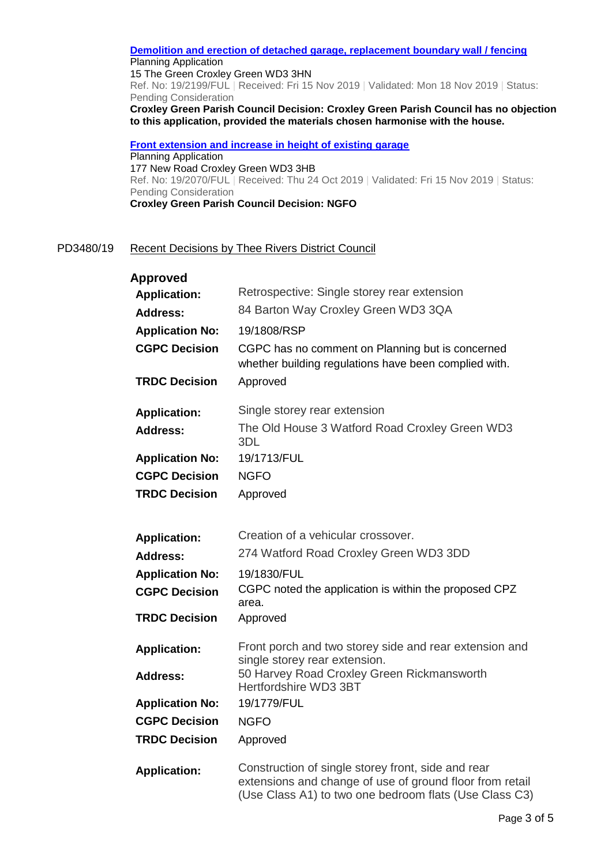**[Demolition and erection of detached garage, replacement boundary wall / fencing](https://www3.threerivers.gov.uk/online-applications/applicationDetails.do?activeTab=summary&keyVal=Q103LLQFH9S00&prevPage=inTray)** Planning Application 15 The Green Croxley Green WD3 3HN Ref. No: 19/2199/FUL | Received: Fri 15 Nov 2019 | Validated: Mon 18 Nov 2019 | Status: Pending Consideration **Croxley Green Parish Council Decision: Croxley Green Parish Council has no objection to this application, provided the materials chosen harmonise with the house.**

**[Front extension and increase in height of existing garage](https://www3.threerivers.gov.uk/online-applications/applicationDetails.do?activeTab=summary&keyVal=PZVA7NQFH2S00&prevPage=inTray)** Planning Application 177 New Road Croxley Green WD3 3HB Ref. No: 19/2070/FUL | Received: Thu 24 Oct 2019 | Validated: Fri 15 Nov 2019 | Status: Pending Consideration **Croxley Green Parish Council Decision: NGFO**

## PD3480/19 Recent Decisions by Thee Rivers District Council

| <b>Approved</b><br><b>Application:</b><br><b>Address:</b><br><b>Application No:</b><br><b>CGPC Decision</b><br><b>TRDC Decision</b> | Retrospective: Single storey rear extension<br>84 Barton Way Croxley Green WD3 3QA<br>19/1808/RSP<br>CGPC has no comment on Planning but is concerned<br>whether building regulations have been complied with.<br>Approved |
|-------------------------------------------------------------------------------------------------------------------------------------|----------------------------------------------------------------------------------------------------------------------------------------------------------------------------------------------------------------------------|
| <b>Application:</b><br>Address:                                                                                                     | Single storey rear extension<br>The Old House 3 Watford Road Croxley Green WD3<br>3DL                                                                                                                                      |
| <b>Application No:</b>                                                                                                              | 19/1713/FUL                                                                                                                                                                                                                |
| <b>CGPC Decision</b>                                                                                                                | <b>NGFO</b>                                                                                                                                                                                                                |
| <b>TRDC Decision</b>                                                                                                                | Approved                                                                                                                                                                                                                   |
| <b>Application:</b><br><b>Address:</b>                                                                                              | Creation of a vehicular crossover.<br>274 Watford Road Croxley Green WD3 3DD                                                                                                                                               |
| <b>Application No:</b><br><b>CGPC Decision</b>                                                                                      | 19/1830/FUL<br>CGPC noted the application is within the proposed CPZ<br>area.                                                                                                                                              |
| <b>TRDC Decision</b>                                                                                                                | Approved                                                                                                                                                                                                                   |
| <b>Application:</b>                                                                                                                 | Front porch and two storey side and rear extension and<br>single storey rear extension.                                                                                                                                    |
| <b>Address:</b>                                                                                                                     | 50 Harvey Road Croxley Green Rickmansworth<br>Hertfordshire WD3 3BT                                                                                                                                                        |
| <b>Application No:</b>                                                                                                              | 19/1779/FUL                                                                                                                                                                                                                |
| <b>CGPC Decision</b>                                                                                                                | <b>NGFO</b>                                                                                                                                                                                                                |
| <b>TRDC Decision</b>                                                                                                                | Approved                                                                                                                                                                                                                   |
| <b>Application:</b>                                                                                                                 | Construction of single storey front, side and rear<br>extensions and change of use of ground floor from retail<br>(Use Class A1) to two one bedroom flats (Use Class C3)                                                   |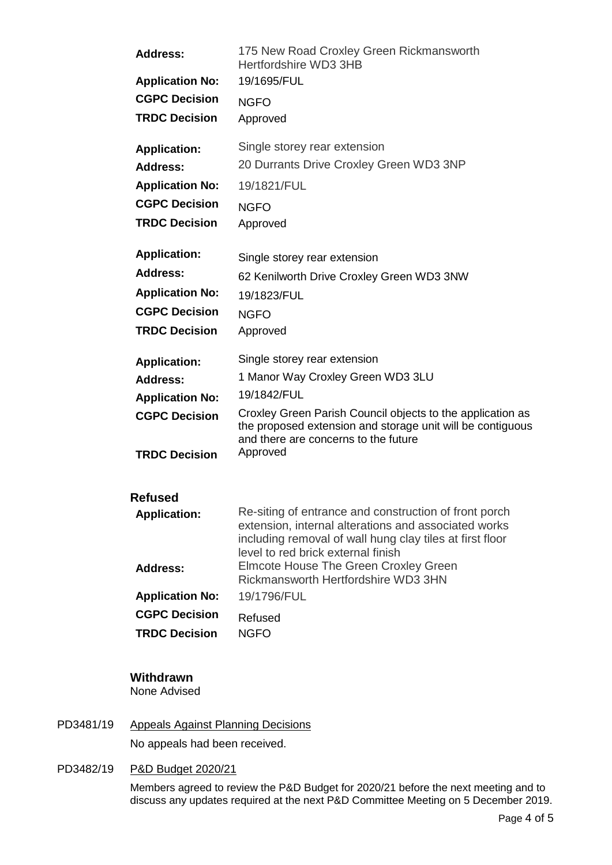| <b>Address:</b>                        | 175 New Road Croxley Green Rickmansworth<br>Hertfordshire WD3 3HB                                             |
|----------------------------------------|---------------------------------------------------------------------------------------------------------------|
| <b>Application No:</b>                 | 19/1695/FUL                                                                                                   |
| <b>CGPC Decision</b>                   | <b>NGFO</b>                                                                                                   |
| <b>TRDC Decision</b>                   | Approved                                                                                                      |
| <b>Application:</b>                    | Single storey rear extension                                                                                  |
| <b>Address:</b>                        | 20 Durrants Drive Croxley Green WD3 3NP                                                                       |
| <b>Application No:</b>                 | 19/1821/FUL                                                                                                   |
| <b>CGPC Decision</b>                   | <b>NGFO</b>                                                                                                   |
| <b>TRDC Decision</b>                   | Approved                                                                                                      |
| <b>Application:</b>                    | Single storey rear extension                                                                                  |
| <b>Address:</b>                        | 62 Kenilworth Drive Croxley Green WD3 3NW                                                                     |
| <b>Application No:</b>                 | 19/1823/FUL                                                                                                   |
| <b>CGPC Decision</b>                   | <b>NGFO</b>                                                                                                   |
| <b>TRDC Decision</b>                   | Approved                                                                                                      |
|                                        | Single storey rear extension                                                                                  |
| <b>Application:</b><br><b>Address:</b> | 1 Manor Way Croxley Green WD3 3LU                                                                             |
| <b>Application No:</b>                 | 19/1842/FUL                                                                                                   |
|                                        | Croxley Green Parish Council objects to the application as                                                    |
|                                        |                                                                                                               |
| <b>CGPC Decision</b>                   | the proposed extension and storage unit will be contiguous                                                    |
| <b>TRDC Decision</b>                   | and there are concerns to the future<br>Approved                                                              |
|                                        |                                                                                                               |
| <b>Refused</b>                         |                                                                                                               |
| <b>Application:</b>                    | Re-siting of entrance and construction of front porch<br>extension, internal alterations and associated works |
|                                        | including removal of wall hung clay tiles at first floor<br>level to red brick external finish                |
| <b>Address:</b>                        | Elmcote House The Green Croxley Green                                                                         |
|                                        | Rickmansworth Hertfordshire WD3 3HN                                                                           |
| <b>Application No:</b>                 | 19/1796/FUL                                                                                                   |
| <b>CGPC Decision</b>                   | Refused                                                                                                       |

# **Withdrawn**

None Advised

PD3481/19 Appeals Against Planning Decisions

No appeals had been received.

PD3482/19 P&D Budget 2020/21

Members agreed to review the P&D Budget for 2020/21 before the next meeting and to discuss any updates required at the next P&D Committee Meeting on 5 December 2019.